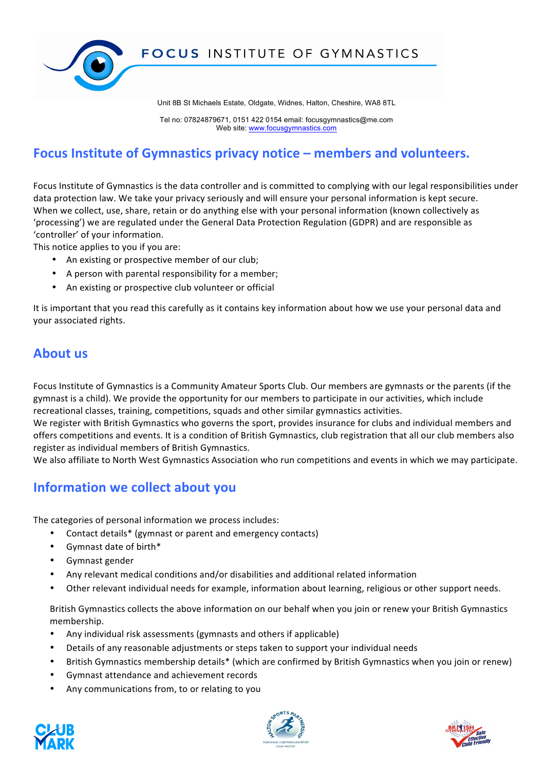

Tel no: 07824879671, 0151 422 0154 email: focusgymnastics@me.com Web site: www.focusgymnastics.com

## **Focus Institute of Gymnastics privacy notice – members and volunteers.**

Focus Institute of Gymnastics is the data controller and is committed to complying with our legal responsibilities under data protection law. We take your privacy seriously and will ensure your personal information is kept secure. When we collect, use, share, retain or do anything else with your personal information (known collectively as 'processing') we are regulated under the General Data Protection Regulation (GDPR) and are responsible as 'controller' of your information.

This notice applies to you if you are:

- An existing or prospective member of our club;
- A person with parental responsibility for a member;
- An existing or prospective club volunteer or official

It is important that you read this carefully as it contains key information about how we use your personal data and your associated rights.

### **About** us

Focus Institute of Gymnastics is a Community Amateur Sports Club. Our members are gymnasts or the parents (if the gymnast is a child). We provide the opportunity for our members to participate in our activities, which include recreational classes, training, competitions, squads and other similar gymnastics activities.

We register with British Gymnastics who governs the sport, provides insurance for clubs and individual members and offers competitions and events. It is a condition of British Gymnastics, club registration that all our club members also register as individual members of British Gymnastics.

We also affiliate to North West Gymnastics Association who run competitions and events in which we may participate.

## **Information we collect about you**

The categories of personal information we process includes:

- Contact details\* (gymnast or parent and emergency contacts)
- Gymnast date of birth\*
- Gymnast gender
- Any relevant medical conditions and/or disabilities and additional related information
- Other relevant individual needs for example, information about learning, religious or other support needs.

British Gymnastics collects the above information on our behalf when you join or renew your British Gymnastics membership.

- Any individual risk assessments (gymnasts and others if applicable)
- Details of any reasonable adjustments or steps taken to support your individual needs
- British Gymnastics membership details\* (which are confirmed by British Gymnastics when you join or renew)
- Gymnast attendance and achievement records
- Any communications from, to or relating to you





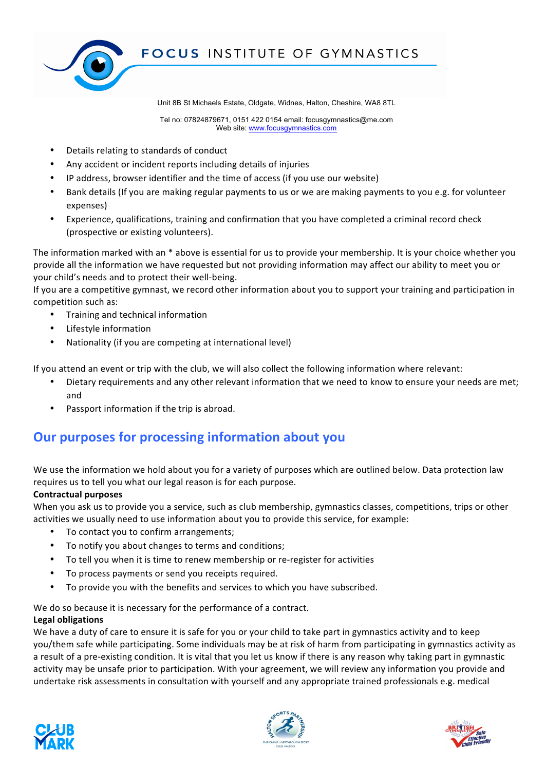

Tel no: 07824879671, 0151 422 0154 email: focusgymnastics@me.com Web site: www.focusgymnastics.com

- Details relating to standards of conduct
- Any accident or incident reports including details of injuries
- IP address, browser identifier and the time of access (if you use our website)
- Bank details (If you are making regular payments to us or we are making payments to you e.g. for volunteer expenses)
- Experience, qualifications, training and confirmation that you have completed a criminal record check (prospective or existing volunteers).

The information marked with an  $*$  above is essential for us to provide your membership. It is your choice whether you provide all the information we have requested but not providing information may affect our ability to meet you or your child's needs and to protect their well-being.

If you are a competitive gymnast, we record other information about you to support your training and participation in competition such as:

- Training and technical information
- **Lifestyle information**
- Nationality (if you are competing at international level)

If you attend an event or trip with the club, we will also collect the following information where relevant:

- Dietary requirements and any other relevant information that we need to know to ensure your needs are met; and
- Passport information if the trip is abroad.

### **Our purposes for processing information about you**

We use the information we hold about you for a variety of purposes which are outlined below. Data protection law requires us to tell you what our legal reason is for each purpose.

#### **Contractual purposes**

When you ask us to provide you a service, such as club membership, gymnastics classes, competitions, trips or other activities we usually need to use information about you to provide this service, for example:

- To contact you to confirm arrangements;
- To notify you about changes to terms and conditions;
- To tell you when it is time to renew membership or re-register for activities
- To process payments or send you receipts required.
- To provide you with the benefits and services to which you have subscribed.

We do so because it is necessary for the performance of a contract.

### **Legal obligations**

We have a duty of care to ensure it is safe for you or your child to take part in gymnastics activity and to keep you/them safe while participating. Some individuals may be at risk of harm from participating in gymnastics activity as a result of a pre-existing condition. It is vital that you let us know if there is any reason why taking part in gymnastic activity may be unsafe prior to participation. With your agreement, we will review any information you provide and undertake risk assessments in consultation with yourself and any appropriate trained professionals e.g. medical





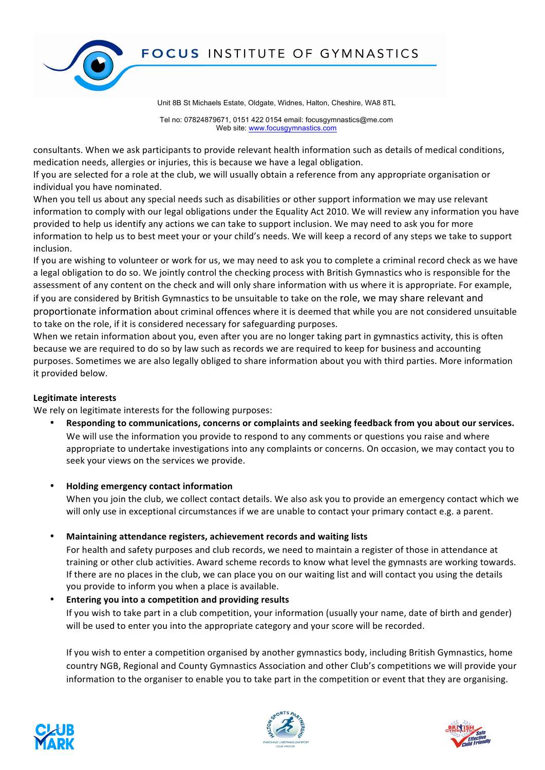



Tel no: 07824879671, 0151 422 0154 email: focusgymnastics@me.com Web site: www.focusgymnastics.com

consultants. When we ask participants to provide relevant health information such as details of medical conditions, medication needs, allergies or injuries, this is because we have a legal obligation.

If you are selected for a role at the club, we will usually obtain a reference from any appropriate organisation or individual you have nominated.

When you tell us about any special needs such as disabilities or other support information we may use relevant information to comply with our legal obligations under the Equality Act 2010. We will review any information you have provided to help us identify any actions we can take to support inclusion. We may need to ask you for more information to help us to best meet your or your child's needs. We will keep a record of any steps we take to support inclusion.

If you are wishing to volunteer or work for us, we may need to ask you to complete a criminal record check as we have a legal obligation to do so. We jointly control the checking process with British Gymnastics who is responsible for the assessment of any content on the check and will only share information with us where it is appropriate. For example,

if you are considered by British Gymnastics to be unsuitable to take on the role, we may share relevant and proportionate information about criminal offences where it is deemed that while you are not considered unsuitable to take on the role, if it is considered necessary for safeguarding purposes.

When we retain information about you, even after you are no longer taking part in gymnastics activity, this is often because we are required to do so by law such as records we are required to keep for business and accounting purposes. Sometimes we are also legally obliged to share information about you with third parties. More information it provided below.

### Legitimate interests

We rely on legitimate interests for the following purposes:

- Responding to communications, concerns or complaints and seeking feedback from you about our services. We will use the information you provide to respond to any comments or questions you raise and where appropriate to undertake investigations into any complaints or concerns. On occasion, we may contact you to seek your views on the services we provide.
	- **Holding emergency contact information** When you join the club, we collect contact details. We also ask you to provide an emergency contact which we will only use in exceptional circumstances if we are unable to contact your primary contact e.g. a parent.
- **Maintaining attendance registers, achievement records and waiting lists**

For health and safety purposes and club records, we need to maintain a register of those in attendance at training or other club activities. Award scheme records to know what level the gymnasts are working towards. If there are no places in the club, we can place you on our waiting list and will contact you using the details you provide to inform you when a place is available.

### Entering you into a competition and providing results

If you wish to take part in a club competition, your information (usually your name, date of birth and gender) will be used to enter you into the appropriate category and your score will be recorded.

If you wish to enter a competition organised by another gymnastics body, including British Gymnastics, home country NGB, Regional and County Gymnastics Association and other Club's competitions we will provide your information to the organiser to enable you to take part in the competition or event that they are organising.





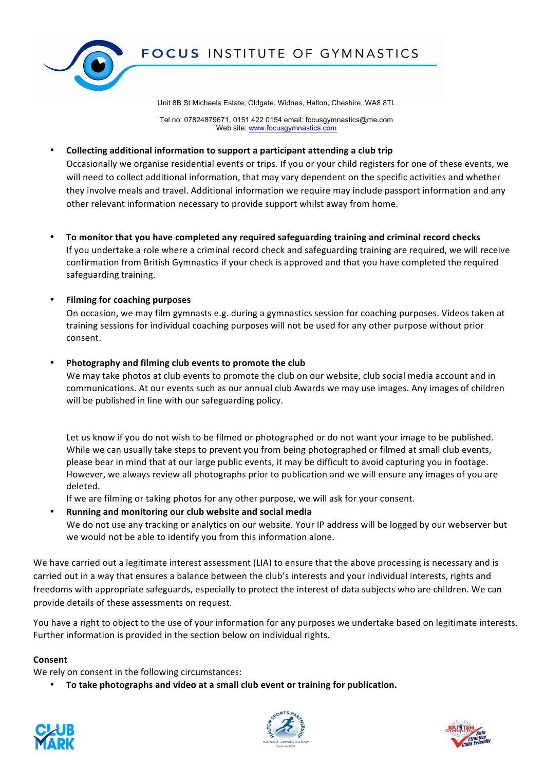

Tel no: 07824879671, 0151 422 0154 email: focusgymnastics@me.com Web site: www.focusgymnastics.com

#### • **Collecting additional information to support a participant attending a club trip**

Occasionally we organise residential events or trips. If you or your child registers for one of these events, we will need to collect additional information, that may vary dependent on the specific activities and whether they involve meals and travel. Additional information we require may include passport information and any other relevant information necessary to provide support whilst away from home.

To monitor that you have completed any required safeguarding training and criminal record checks If you undertake a role where a criminal record check and safeguarding training are required, we will receive confirmation from British Gymnastics if your check is approved and that you have completed the required safeguarding training.

### **Filming for coaching purposes**

On occasion, we may film gymnasts e.g. during a gymnastics session for coaching purposes. Videos taken at training sessions for individual coaching purposes will not be used for any other purpose without prior consent.

### Photography and filming club events to promote the club

We may take photos at club events to promote the club on our website, club social media account and in communications. At our events such as our annual club Awards we may use images. Any images of children will be published in line with our safeguarding policy.

Let us know if you do not wish to be filmed or photographed or do not want your image to be published. While we can usually take steps to prevent you from being photographed or filmed at small club events, please bear in mind that at our large public events, it may be difficult to avoid capturing you in footage. However, we always review all photographs prior to publication and we will ensure any images of you are deleted. 

If we are filming or taking photos for any other purpose, we will ask for your consent.

Running and monitoring our club website and social media We do not use any tracking or analytics on our website. Your IP address will be logged by our webserver but we would not be able to identify you from this information alone.

We have carried out a legitimate interest assessment (LIA) to ensure that the above processing is necessary and is carried out in a way that ensures a balance between the club's interests and your individual interests, rights and freedoms with appropriate safeguards, especially to protect the interest of data subjects who are children. We can provide details of these assessments on request.

You have a right to object to the use of your information for any purposes we undertake based on legitimate interests. Further information is provided in the section below on individual rights.

### **Consent**

We rely on consent in the following circumstances:

To take photographs and video at a small club event or training for publication.





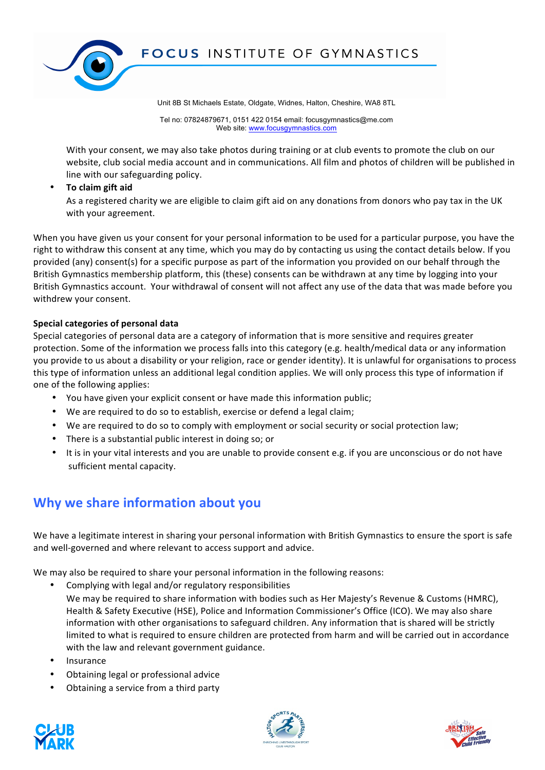

Tel no: 07824879671, 0151 422 0154 email: focusgymnastics@me.com Web site: www.focusgymnastics.com

With your consent, we may also take photos during training or at club events to promote the club on our website, club social media account and in communications. All film and photos of children will be published in line with our safeguarding policy.

#### **To claim gift aid**

As a registered charity we are eligible to claim gift aid on any donations from donors who pay tax in the UK with your agreement.

When you have given us your consent for your personal information to be used for a particular purpose, you have the right to withdraw this consent at any time, which you may do by contacting us using the contact details below. If you provided (any) consent(s) for a specific purpose as part of the information you provided on our behalf through the British Gymnastics membership platform, this (these) consents can be withdrawn at any time by logging into your British Gymnastics account. Your withdrawal of consent will not affect any use of the data that was made before you withdrew your consent.

### **Special categories of personal data**

Special categories of personal data are a category of information that is more sensitive and requires greater protection. Some of the information we process falls into this category (e.g. health/medical data or any information you provide to us about a disability or your religion, race or gender identity). It is unlawful for organisations to process this type of information unless an additional legal condition applies. We will only process this type of information if one of the following applies:

- You have given your explicit consent or have made this information public;
- We are required to do so to establish, exercise or defend a legal claim;
- We are required to do so to comply with employment or social security or social protection law;
- There is a substantial public interest in doing so; or
- It is in your vital interests and you are unable to provide consent e.g. if you are unconscious or do not have sufficient mental capacity.

### **Why we share information about you**

We have a legitimate interest in sharing your personal information with British Gymnastics to ensure the sport is safe and well-governed and where relevant to access support and advice.

We may also be required to share your personal information in the following reasons:

- Complying with legal and/or regulatory responsibilities We may be required to share information with bodies such as Her Majesty's Revenue & Customs (HMRC). Health & Safety Executive (HSE), Police and Information Commissioner's Office (ICO). We may also share information with other organisations to safeguard children. Any information that is shared will be strictly limited to what is required to ensure children are protected from harm and will be carried out in accordance with the law and relevant government guidance.
- Insurance
- Obtaining legal or professional advice
- Obtaining a service from a third party





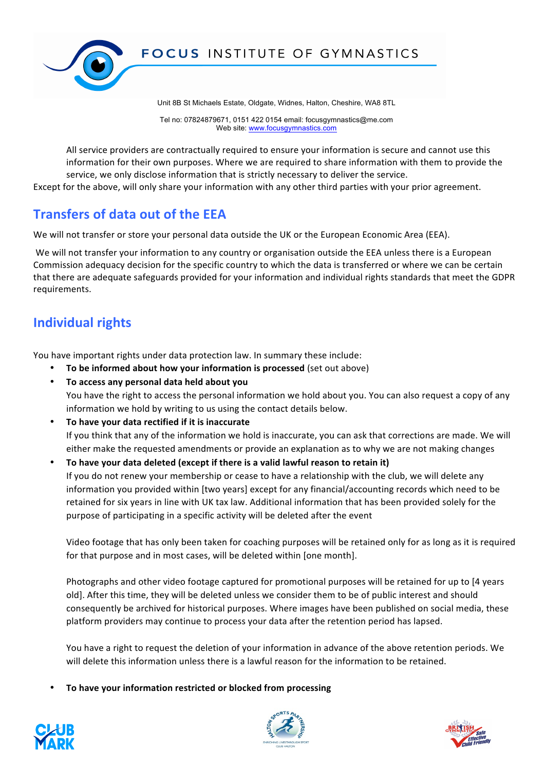

Tel no: 07824879671, 0151 422 0154 email: focusgymnastics@me.com Web site: www.focusgymnastics.com

All service providers are contractually required to ensure your information is secure and cannot use this information for their own purposes. Where we are required to share information with them to provide the service, we only disclose information that is strictly necessary to deliver the service.

Except for the above, will only share your information with any other third parties with your prior agreement.

## **Transfers of data out of the FFA**

We will not transfer or store your personal data outside the UK or the European Economic Area (EEA).

We will not transfer your information to any country or organisation outside the EEA unless there is a European Commission adequacy decision for the specific country to which the data is transferred or where we can be certain that there are adequate safeguards provided for your information and individual rights standards that meet the GDPR requirements.

# **Individual rights**

You have important rights under data protection law. In summary these include:

- **To be informed about how your information is processed** (set out above)
- **To access any personal data held about you** You have the right to access the personal information we hold about you. You can also request a copy of any information we hold by writing to us using the contact details below.
- To have your data rectified if it is inaccurate If you think that any of the information we hold is inaccurate, you can ask that corrections are made. We will either make the requested amendments or provide an explanation as to why we are not making changes

To have your data deleted (except if there is a valid lawful reason to retain it) If you do not renew your membership or cease to have a relationship with the club, we will delete any information you provided within [two years] except for any financial/accounting records which need to be retained for six years in line with UK tax law. Additional information that has been provided solely for the purpose of participating in a specific activity will be deleted after the event

Video footage that has only been taken for coaching purposes will be retained only for as long as it is required for that purpose and in most cases, will be deleted within [one month].

Photographs and other video footage captured for promotional purposes will be retained for up to [4 years old]. After this time, they will be deleted unless we consider them to be of public interest and should consequently be archived for historical purposes. Where images have been published on social media, these platform providers may continue to process your data after the retention period has lapsed.

You have a right to request the deletion of your information in advance of the above retention periods. We will delete this information unless there is a lawful reason for the information to be retained.

To have your information restricted or blocked from processing





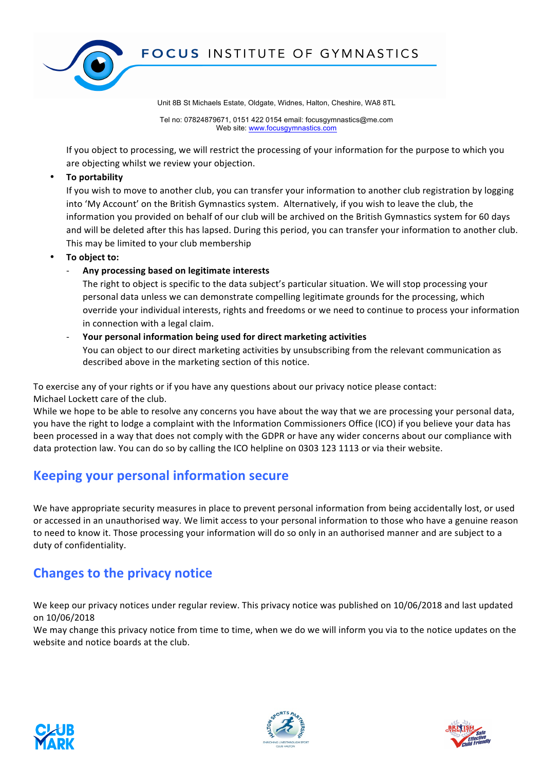

Tel no: 07824879671, 0151 422 0154 email: focusgymnastics@me.com Web site: www.focusgymnastics.com

If you object to processing, we will restrict the processing of your information for the purpose to which you are objecting whilst we review your objection.

**To portability** 

If you wish to move to another club, you can transfer your information to another club registration by logging into 'My Account' on the British Gymnastics system. Alternatively, if you wish to leave the club, the information you provided on behalf of our club will be archived on the British Gymnastics system for 60 days and will be deleted after this has lapsed. During this period, you can transfer your information to another club. This may be limited to your club membership

- To object to:
	- Any processing based on legitimate interests

The right to object is specific to the data subject's particular situation. We will stop processing your personal data unless we can demonstrate compelling legitimate grounds for the processing, which override your individual interests, rights and freedoms or we need to continue to process your information in connection with a legal claim.

Your personal information being used for direct marketing activities

You can object to our direct marketing activities by unsubscribing from the relevant communication as described above in the marketing section of this notice.

To exercise any of your rights or if you have any questions about our privacy notice please contact: Michael Lockett care of the club.

While we hope to be able to resolve any concerns you have about the way that we are processing your personal data, you have the right to lodge a complaint with the Information Commissioners Office (ICO) if you believe your data has been processed in a way that does not comply with the GDPR or have any wider concerns about our compliance with data protection law. You can do so by calling the ICO helpline on 0303 123 1113 or via their website.

## **Keeping your personal information secure**

We have appropriate security measures in place to prevent personal information from being accidentally lost, or used or accessed in an unauthorised way. We limit access to your personal information to those who have a genuine reason to need to know it. Those processing your information will do so only in an authorised manner and are subject to a duty of confidentiality.

## **Changes to the privacy notice**

We keep our privacy notices under regular review. This privacy notice was published on 10/06/2018 and last updated on 10/06/2018

We may change this privacy notice from time to time, when we do we will inform you via to the notice updates on the website and notice boards at the club.